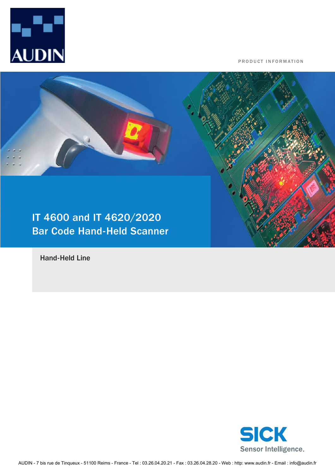

PRODUCT INFORMATION



Hand-Held Line

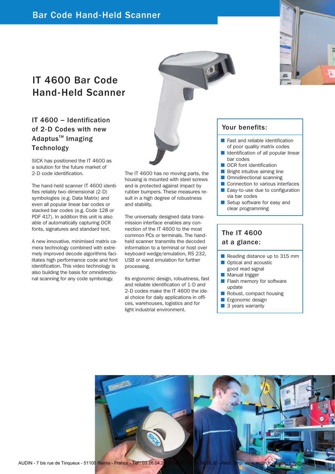# IT 4600 Bar Code Hand-Held Scanner

### IT 4600 – Identification of 2-D Codes with new Adaptus<sup>™</sup> Imaging **Technology**

SICK has positioned the IT 4600 as a solution for the future market of 2-D code identification.

The hand-held scanner IT 4600 identifies reliably two-dimensional (2-D) symbologies (e.g. Data Matrix) and even all popular linear bar codes or stacked bar codes (e.g. Code 128 or PDF 417). In addition this unit is also able of automatically capturing OCR fonts, signatures and standard text.

A new innovative, minimised matrix camera technology combined with extremely improved decode algorithms facilitates high performance code and font identification. This video technology is also building the basis for omnidirectional scanning for any code symbology.

The IT 4600 has no moving parts, the housing is mounted with steel screws and is protected against impact by rubber bumpers. These measures result in a high degree of robustness and stability.

The universally designed data transmission interface enables any connection of the IT 4600 to the most common PCs or terminals. The handheld scanner transmits the decoded information to a terminal or host over keyboard wedge/emulation, RS 232, USB or wand emulation for further processing.

Its ergonomic design, robustness, fast and reliable identification of 1-D and 2-D codes make the IT 4600 the ideal choice for daily applications in offices, warehouses, logistics and for light industrial environment.

#### Your benefits:

- Fast and reliable identification of poor quality matrix codes
- Identification of all popular linear bar codes
- OCR font identification
- Bright intuitive aiming line
- Omnidirectional scanning
- Connection to various interfaces ■ Easy-to-use due to configuration via bar codes
- Setup software for easy and clear programming

#### The IT 4600 at a glance:

- Reading distance up to 315 mm Optical and acoustic
- good read signal
- Manual trigger
- Flash memory for software update
- Robust, compact housing
- Ergonomic design
- 3 years warranty

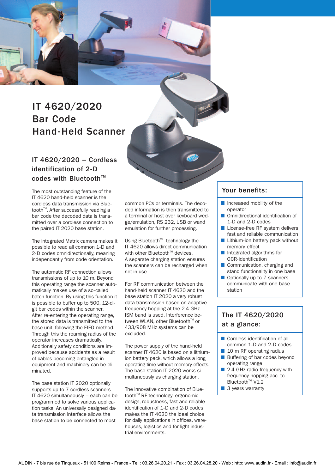

#### IT 4620/2020 – Cordless identification of 2-D codes with Bluetooth<sup>™</sup>

The most outstanding feature of the IT 4620 hand-held scanner is the cordless data transmission via Bluetooth<sup>™</sup>. After successfully reading a bar code the decoded data is transmitted over a cordless connection to the paired IT 2020 base station.

The integrated Matrix camera makes it possible to read all common 1-D and 2-D codes omnidirectionally, meaning independantly from code orientation.

The automatic RF connection allows transmissions of up to 10 m. Beyond this operating range the scanner automatically makes use of a so-called batch function. By using this function it is possible to buffer up to 500, 12-digit bar codes within the scanner. After re-entering the operating range, the stored data is transmitted to the base unit, following the FIFO-method. Through this the roaming radius of the operator increases dramatically. Additionally safety conditions are improved because accidents as a result of cables becoming entangled in equipment and machinery can be eliminated.

The base station IT 2020 optionally supports up to 7 cordless scanners IT 4620 simultaneously – each can be programmed to solve various application tasks. An universally designed data transmission interface allows the base station to be connected to most

common PCs or terminals. The decoded information is then transmitted to a terminal or host over keyboard wedge/emulation, RS 232, USB or wand emulation for further processing.

Using Bluetooth<sup>™</sup> technology the IT 4620 allows direct communication with other Bluetooth<sup>™</sup> devices. A separate charging station ensures the scanners can be recharged when not in use.

For RF communication between the hand-held scanner IT 4620 and the base station IT 2020 a very robust data transmission based on adaptive frequency hopping at the 2.4 GHz ISM band is used. Interference between WLAN, other Bluetooth™ or 433/908 MHz systems can be excluded.

The power supply of the hand-held scanner IT 4620 is based on a lithiumion battery pack, which allows a long operating time without memory effects. The base station IT 2020 works simultaneously as charging station.

The innovative combination of Bluetooth<sup>™</sup> RF technology, ergonomic design, robustness, fast and reliable identification of 1-D and 2-D codes makes the IT 4620 the ideal choice for daily applications in offices, warehouses, logistics and for light industrial environments.

#### Your benefits:

- Increased mobility of the operator
- Omnidirectional identification of 1-D and 2-D codes
- License-free RF system delivers fast and reliable communication
- Lithium-ion battery pack without memory effect
- Integrated algorithms for OCR-identification
- Communication, charging and stand functionality in one base
- Optionally up to 7 scanners communicate with one base station

#### The IT 4620/2020 at a glance:

- Cordless identification of all common 1-D and 2-D codes
- 10 m RF operating radius
- Buffering of bar codes beyond operating range
- 2.4 GHz radio frequency with frequency hopping acc. to  $B$ luetooth<sup>™</sup> V<sub>1.2</sub>
- 3 years warranty